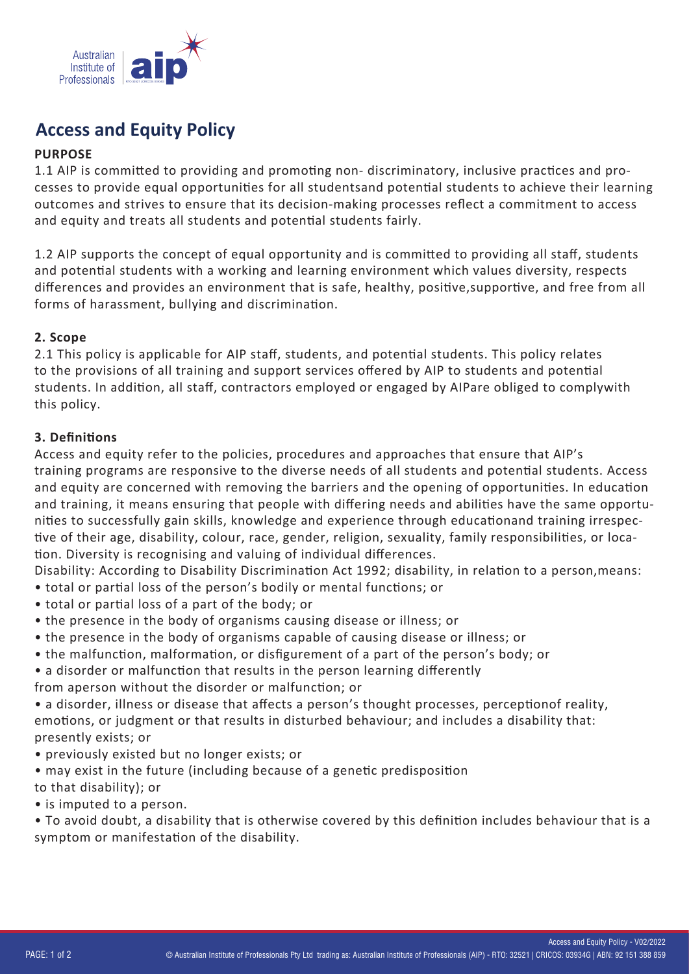

# **Access and Equity Policy**

#### **PURPOSE**

1.1 AIP is committed to providing and promoting non-discriminatory, inclusive practices and processes to provide equal opportunities for all studentsand potential students to achieve their learning outcomes and strives to ensure that its decision-making processes reflect a commitment to access and equity and treats all students and potential students fairly.

1.2 AIP supports the concept of equal opportunity and is committed to providing all staff, students and potential students with a working and learning environment which values diversity, respects differences and provides an environment that is safe, healthy, positive, supportive, and free from all forms of harassment, bullying and discrimination.

#### **2. Scope**

2.1 This policy is applicable for AIP staff, students, and potential students. This policy relates to the provisions of all training and support services offered by AIP to students and potential students. In addition, all staff, contractors employed or engaged by AIPare obliged to complywith this policy.

#### **3. Defini�ons**

Access and equity refer to the policies, procedures and approaches that ensure that AIP's training programs are responsive to the diverse needs of all students and potential students. Access and equity are concerned with removing the barriers and the opening of opportunities. In education and training, it means ensuring that people with differing needs and abilities have the same opportunities to successfully gain skills, knowledge and experience through educationand training irrespective of their age, disability, colour, race, gender, religion, sexuality, family responsibilities, or location. Diversity is recognising and valuing of individual differences.

Disability: According to Disability Discrimination Act 1992; disability, in relation to a person,means:

- total or partial loss of the person's bodily or mental functions; or
- total or partial loss of a part of the body; or
- the presence in the body of organisms causing disease or illness; or
- the presence in the body of organisms capable of causing disease or illness; or
- the malfunction, malformation, or disfigurement of a part of the person's body; or
- a disorder or malfunction that results in the person learning differently
- from aperson without the disorder or malfunction; or

• a disorder, illness or disease that affects a person's thought processes, perceptionof reality, emotions, or judgment or that results in disturbed behaviour; and includes a disability that: presently exists; or

- previously existed but no longer exists; or
- may exist in the future (including because of a genetic predisposition
- to that disability); or
- is imputed to a person.

• To avoid doubt, a disability that is otherwise covered by this definition includes behaviour that is a symptom or manifestation of the disability.